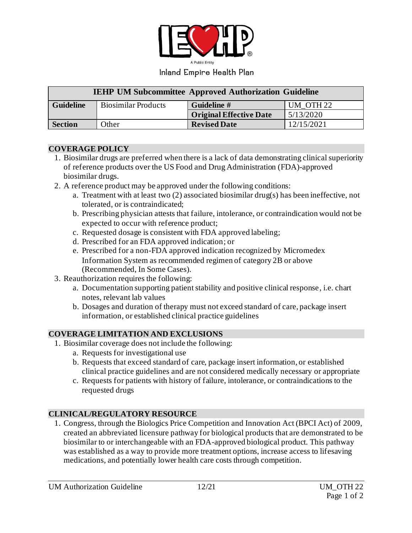

#### Inland Empire Health Plan

| <b>IEHP UM Subcommittee Approved Authorization Guideline</b> |                            |                                |                      |
|--------------------------------------------------------------|----------------------------|--------------------------------|----------------------|
| <b>Guideline</b>                                             | <b>Biosimilar Products</b> | Guideline #                    | UM OTH <sub>22</sub> |
|                                                              |                            | <b>Original Effective Date</b> | 5/13/2020            |
| <b>Section</b>                                               | Other                      | <b>Revised Date</b>            | 12/15/2021           |

#### **COVERAGE POLICY**

- 1. Biosimilar drugs are preferred when there is a lack of data demonstrating clinical superiority of reference products over the US Food and Drug Administration (FDA)-approved biosimilar drugs.
- 2. A reference product may be approved under the following conditions:
	- a. Treatment with at least two (2) associated biosimilar drug(s) has been ineffective, not tolerated, or is contraindicated;
	- b. Prescribing physician attests that failure, intolerance, or contraindication would not be expected to occur with reference product;
	- c. Requested dosage is consistent with FDA approved labeling;
	- d. Prescribed for an FDA approved indication; or
	- e. Prescribed for a non-FDA approved indication recognized by Micromedex Information System as recommended regimen of category 2B or above (Recommended, In Some Cases).
- 3. Reauthorization requires the following:
	- a. Documentation supporting patient stability and positive clinical response, i.e. chart notes, relevant lab values
	- b. Dosages and duration of therapy must not exceed standard of care, package insert information, or established clinical practice guidelines

# **COVERAGE LIMITATION AND EXCLUSIONS**

- 1. Biosimilar coverage does not include the following:
	- a. Requests for investigational use
	- b. Requests that exceed standard of care, package insert information, or established clinical practice guidelines and are not considered medically necessary or appropriate
	- c. Requests for patients with history of failure, intolerance, or contraindications to the requested drugs

# **CLINICAL/REGULATORY RESOURCE**

1. Congress, through the Biologics Price Competition and Innovation Act (BPCI Act) of 2009, created an abbreviated licensure pathway for biological products that are demonstrated to be biosimilar to or interchangeable with an FDA-approved biological product. This pathway was established as a way to provide more treatment options, increase access to lifesaving medications, and potentially lower health care costs through competition.